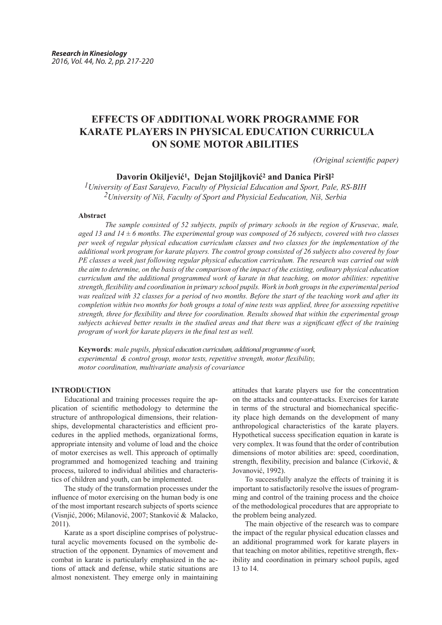# **EFFECTS OF ADDITIONAL WORK PROGRAMME FOR KARATE PLAYERS IN PHYSICAL EDUCATION CURRICULA ON SOME MOTOR ABILITIES**

*(Original scientific paper)*

## **Davorin Okiljević1, Dejan Stojiljković2 and Danica Piršl<sup>2</sup>**

*1University of East Sarajevo, Faculty of Physicial Education and Sport, Pale, RS-BIH 2University of Niš, Faculty of Sport and Physicial Eeducation, Niš, Serbia*

#### **Abstract**

*The sample consisted of 52 subjects, pupils of primary schools in the region of Krusevac, male, aged 13 and 14 ± 6 months. The experimental group was composed of 26 subjects, covered with two classes per week of regular physical education curriculum classes and two classes for the implementation of the additional work program for karate players. The control group consisted of 26 subjects also covered by four PE classes a week just following regular physical education curriculum. The research was carried out with the aim to determine, on the basis of the comparison of the impact of the existing, ordinary physical education curriculum and the additional programmed work of karate in that teaching, on motor abilities: repetitive strength, flexibility and coordination in primary school pupils. Work in both groups in the experimental period was realized with 32 classes for a period of two months. Before the start of the teaching work and after its completion within two months for both groups a total of nine tests was applied, three for assessing repetitive strength, three for flexibility and three for coordination. Results showed that within the experimental group subjects achieved better results in the studied areas and that there was a significant effect of the training program of work for karate players in the final test as well.*

**Keywords**: *male pupils, physical education curriculum, additional programme of work, experimental & control group, motor tests, repetitive strength, motor flexibility, motor coordination, multivariate analysis of covariance*

### **INTRODUCTION**

Educational and training processes require the application of scientific methodology to determine the structure of anthropological dimensions, their relationships, developmental characteristics and efficient procedures in the applied methods, organizational forms, appropriate intensity and volume of load and the choice of motor exercises as well. This approach of optimally programmed and homogenized teaching and training process, tailored to individual abilities and characteristics of children and youth, can be implemented.

The study of the transformation processes under the influence of motor exercising on the human body is one of the most important research subjects of sports science (Visnjić, 2006; Milanović, 2007; Stanković & Malacko, 2011).

Karate as a sport discipline comprises of polystructural acyclic movements focused on the symbolic destruction of the opponent. Dynamics of movement and combat in karate is particularly emphasized in the actions of attack and defense, while static situations are almost nonexistent. They emerge only in maintaining

attitudes that karate players use for the concentration on the attacks and counter-attacks. Exercises for karate in terms of the structural and biomechanical specificity place high demands on the development of many anthropological characteristics of the karate players. Hypothetical success specification equation in karate is very complex. It was found that the order of contribution dimensions of motor abilities are: speed, coordination, strength, flexibility, precision and balance (Cirković, & Jovanović, 1992).

To successfully analyze the effects of training it is important to satisfactorily resolve the issues of programming and control of the training process and the choice of the methodological procedures that are appropriate to the problem being analyzed.

The main objective of the research was to compare the impact of the regular physical education classes and an additional programmed work for karate players in that teaching on motor abilities, repetitive strength, flexibility and coordination in primary school pupils, aged 13 to 14.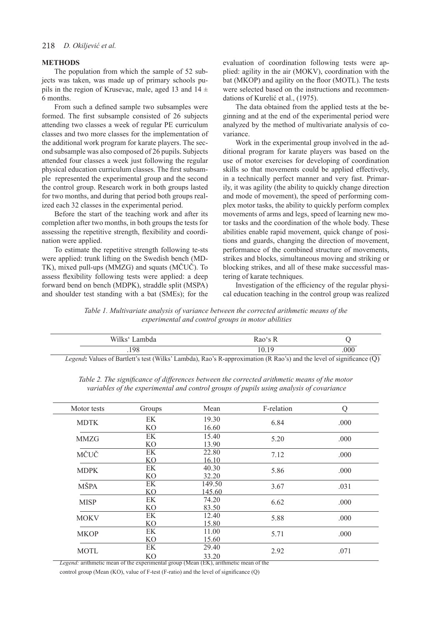#### **METHODS**

The population from which the sample of 52 subjects was taken, was made up of primary schools pupils in the region of Krusevac, male, aged 13 and  $14 \pm$ 6 months.

From such a defined sample two subsamples were formed. The first subsample consisted of 26 subjects attending two classes a week of regular PE curriculum classes and two more classes for the implementation of the additional work program for karate players. The second subsample was also composed of 26 pupils. Subjects attended four classes a week just following the regular physical education curriculum classes. The first subsample represented the experimental group and the second the control group. Research work in both groups lasted for two months, and during that period both groups realized each 32 classes in the experimental period.

Before the start of the teaching work and after its completion after two months, in both groups the tests for assessing the repetitive strength, flexibility and coordination were applied.

To estimate the repetitive strength following te-sts were applied: trunk lifting on the Swedish bench (MD-TK), mixed pull-ups (MMZG) and squats (MČUČ). To assess flexibility following tests were applied: a deep forward bend on bench (MDPK), straddle split (MSPA) and shoulder test standing with a bat (SMEs); for the evaluation of coordination following tests were applied: agility in the air (MOKV), coordination with the bat (MKOP) and agility on the floor (MOTL). The tests were selected based on the instructions and recommendations of Kurelić et al., (1975).

The data obtained from the applied tests at the beginning and at the end of the experimental period were analyzed by the method of multivariate analysis of covariance.

Work in the experimental group involved in the additional program for karate players was based on the use of motor exercises for developing of coordination skills so that movements could be applied effectively, in a technically perfect manner and very fast. Primarily, it was agility (the ability to quickly change direction and mode of movement), the speed of performing complex motor tasks, the ability to quickly perform complex movements of arms and legs, speed of learning new motor tasks and the coordination of the whole body. These abilities enable rapid movement, quick change of positions and guards, changing the direction of movement, performance of the combined structure of movements, strikes and blocks, simultaneous moving and striking or blocking strikes, and all of these make successful mastering of karate techniques.

Investigation of the efficiency of the regular physical education teaching in the control group was realized

*Table 1. Multivariate analysis of variance between the corrected arithmetic means of the experimental and control groups in motor abilities*

| Wilks' Lambda | Rao's R                                                                                                              |      |
|---------------|----------------------------------------------------------------------------------------------------------------------|------|
| 198           | 10 19                                                                                                                | .000 |
|               | Legend: Values of Bartlett's test (Wilks' Lambda), Rao's R-approximation (R Rao's) and the level of significance (Q) |      |

| Motor tests                                                                          | Groups               | Mean             | F-relation | Q    |  |  |
|--------------------------------------------------------------------------------------|----------------------|------------------|------------|------|--|--|
| <b>MDTK</b>                                                                          | EK<br>K <sub>O</sub> | 19.30<br>16.60   | 6.84       | .000 |  |  |
| MMZG                                                                                 | EK<br>K <sub>O</sub> | 15.40<br>13.90   | 5.20       | .000 |  |  |
| MČUČ                                                                                 | EK<br>K <sub>O</sub> | 22.80<br>16.10   | 7.12       | .000 |  |  |
| <b>MDPK</b>                                                                          | EK<br>K <sub>O</sub> | 40.30<br>32.20   | 5.86       | .000 |  |  |
| <b>MŠPA</b>                                                                          | EK<br>K <sub>O</sub> | 149.50<br>145.60 | 3.67       | .031 |  |  |
| <b>MISP</b>                                                                          | EK<br>KO <sub></sub> | 74.20<br>83.50   | 6.62       | .000 |  |  |
| <b>MOKV</b>                                                                          | EK<br>K <sub>O</sub> | 12.40<br>15.80   | 5.88       | .000 |  |  |
| <b>MKOP</b>                                                                          | EK<br>KΟ             | 11.00<br>15.60   | 5.71       | .000 |  |  |
| <b>MOTL</b>                                                                          | EK<br>K <sub>O</sub> | 29.40<br>33.20   | 2.92       | .071 |  |  |
| Legend: arithmetic mean of the experimental group (Mean (EK), arithmetic mean of the |                      |                  |            |      |  |  |

*Table 2. The significance of differences between the corrected arithmetic means of the motor variables of the experimental and control groups of pupils using analysis of covariance*

control group (Mean (KO), value of F-test (F-ratio) and the level of significance (Q)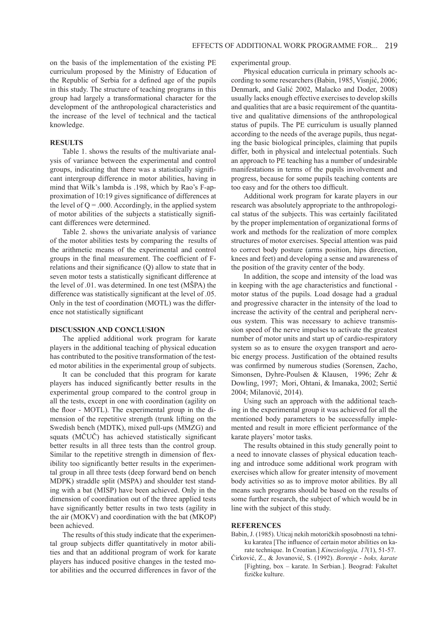on the basis of the implementation of the existing PE curriculum proposed by the Ministry of Education of the Republic of Serbia for a defined age of the pupils in this study. The structure of teaching programs in this group had largely a transformational character for the development of the anthropological characteristics and the increase of the level of technical and the tactical knowledge.

### **RESULTS**

Table 1. shows the results of the multivariate analysis of variance between the experimental and control groups, indicating that there was a statistically significant intergroup difference in motor abilities, having in mind that Wilk's lambda is .198, which by Rao's F-approximation of 10:19 gives significance of differences at the level of  $Q = .000$ . Accordingly, in the applied system of motor abilities of the subjects a statistically significant differences were determined.

Table 2. shows the univariate analysis of variance of the motor abilities tests by comparing the results of the arithmetic means of the experimental and control groups in the final measurement. The coefficient of Frelations and their significance (Q) allow to state that in seven motor tests a statistically significant difference at the level of .01. was determined. In one test (MŠPA) the difference was statistically significant at the level of .05. Only in the test of coordination (MOTL) was the difference not statistically significant

#### **DISCUSSION AND CONCLUSION**

The applied additional work program for karate players in the additional teaching of physical education has contributed to the positive transformation of the tested motor abilities in the experimental group of subjects.

It can be concluded that this program for karate players has induced significantly better results in the experimental group compared to the control group in all the tests, except in one with coordination (agility on the floor - MOTL). The experimental group in the dimension of the repetitive strength (trunk lifting on the Swedish bench (MDTK), mixed pull-ups (MMZG) and squats (MČUČ) has achieved statistically significant better results in all three tests than the control group. Similar to the repetitive strength in dimension of flexibility too significantly better results in the experimental group in all three tests (deep forward bend on bench MDPK) straddle split (MSPA) and shoulder test standing with a bat (MISP) have been achieved. Only in the dimension of coordination out of the three applied tests have significantly better results in two tests (agility in the air (MOKV) and coordination with the bat (MKOP) been achieved.

The results of this study indicate that the experimental group subjects differ quantitatively in motor abilities and that an additional program of work for karate players has induced positive changes in the tested motor abilities and the occurred differences in favor of the experimental group.

Physical education curricula in primary schools according to some researchers (Babin, 1985, Visnjić, 2006; Denmark, and Galić 2002, Malacko and Doder, 2008) usually lacks enough effective exercises to develop skills and qualities that are a basic requirement of the quantitative and qualitative dimensions of the anthropological status of pupils. The PE curriculum is usually planned according to the needs of the average pupils, thus negating the basic biological principles, claiming that pupils differ, both in physical and intelectual potentials. Such an approach to PE teaching has a number of undesirable manifestations in terms of the pupils involvement and progress, because for some pupils teaching contents are too easy and for the others too difficult.

Additional work program for karate players in our research was absolutely appropriate to the anthropological status of the subjects. This was certainly facilitated by the proper implementation of organizational forms of work and methods for the realization of more complex structures of motor exercises. Special attention was paid to correct body posture (arms position, hips direction, knees and feet) and developing a sense and awareness of the position of the gravity center of the body.

In addition, the scope and intensity of the load was in keeping with the age characteristics and functional motor status of the pupils. Load dosage had a gradual and progressive character in the intensity of the load to increase the activity of the central and peripheral nervous system. This was necessary to achieve transmission speed of the nerve impulses to activate the greatest number of motor units and start up of cardio-respiratory system so as to ensure the oxygen transport and aerobic energy process. Justification of the obtained results was confirmed by numerous studies (Sorensen, Zacho, Simonsen, Dyhre-Poulsen & Klausen, 1996; Zehr & Dowling, 1997; Mori, Ohtani, & Imanaka, 2002; Sertić 2004; Milanović, 2014).

Using such an approach with the additional teaching in the experimental group it was achieved for all the mentioned body parameters to be successfully implemented and result in more efficient performance of the karate players' motor tasks.

The results obtained in this study generally point to a need to innovate classes of physical education teaching and introduce some additional work program with exercises which allow for greater intensity of movement body activities so as to improve motor abilities. By all means such programs should be based on the results of some further research, the subject of which would be in line with the subject of this study.

### **REFERENCES**

- Babin, J. (1985). Uticaj nekih motoričkih sposobnosti na tehniku karatea [The influence of certain motor abilities on karate technique. In Croatian.] *Kineziologija, 17*(1), 51-57.
- Ćirković, Z., & Jovanović, S. (1992). *Borenje boks, karate* [Fighting, box – karate. In Serbian.]. Beograd: Fakultet fizičke kulture.